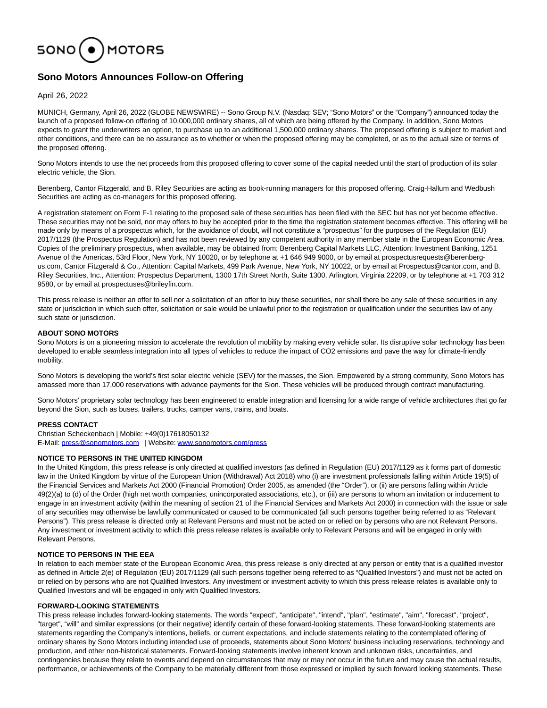

# **Sono Motors Announces Follow-on Offering**

April 26, 2022

MUNICH, Germany, April 26, 2022 (GLOBE NEWSWIRE) -- Sono Group N.V. (Nasdaq: SEV; "Sono Motors" or the "Company") announced today the launch of a proposed follow-on offering of 10,000,000 ordinary shares, all of which are being offered by the Company. In addition, Sono Motors expects to grant the underwriters an option, to purchase up to an additional 1,500,000 ordinary shares. The proposed offering is subject to market and other conditions, and there can be no assurance as to whether or when the proposed offering may be completed, or as to the actual size or terms of the proposed offering.

Sono Motors intends to use the net proceeds from this proposed offering to cover some of the capital needed until the start of production of its solar electric vehicle, the Sion.

Berenberg, Cantor Fitzgerald, and B. Riley Securities are acting as book-running managers for this proposed offering. Craig-Hallum and Wedbush Securities are acting as co-managers for this proposed offering.

A registration statement on Form F-1 relating to the proposed sale of these securities has been filed with the SEC but has not yet become effective. These securities may not be sold, nor may offers to buy be accepted prior to the time the registration statement becomes effective. This offering will be made only by means of a prospectus which, for the avoidance of doubt, will not constitute a "prospectus" for the purposes of the Regulation (EU) 2017/1129 (the Prospectus Regulation) and has not been reviewed by any competent authority in any member state in the European Economic Area. Copies of the preliminary prospectus, when available, may be obtained from: Berenberg Capital Markets LLC, Attention: Investment Banking, 1251 Avenue of the Americas, 53rd Floor, New York, NY 10020, or by telephone at +1 646 949 9000, or by email at prospectusrequests@berenbergus.com, Cantor Fitzgerald & Co., Attention: Capital Markets, 499 Park Avenue, New York, NY 10022, or by email at Prospectus@cantor.com, and B. Riley Securities, Inc., Attention: Prospectus Department, 1300 17th Street North, Suite 1300, Arlington, Virginia 22209, or by telephone at +1 703 312 9580, or by email at prospectuses@brileyfin.com.

This press release is neither an offer to sell nor a solicitation of an offer to buy these securities, nor shall there be any sale of these securities in any state or jurisdiction in which such offer, solicitation or sale would be unlawful prior to the registration or qualification under the securities law of any such state or jurisdiction.

# **ABOUT SONO MOTORS**

Sono Motors is on a pioneering mission to accelerate the revolution of mobility by making every vehicle solar. Its disruptive solar technology has been developed to enable seamless integration into all types of vehicles to reduce the impact of CO2 emissions and pave the way for climate-friendly mobility.

Sono Motors is developing the world's first solar electric vehicle (SEV) for the masses, the Sion. Empowered by a strong community, Sono Motors has amassed more than 17,000 reservations with advance payments for the Sion. These vehicles will be produced through contract manufacturing.

Sono Motors' proprietary solar technology has been engineered to enable integration and licensing for a wide range of vehicle architectures that go far beyond the Sion, such as buses, trailers, trucks, camper vans, trains, and boats.

# **PRESS CONTACT**

Christian Scheckenbach | Mobile: +49(0)17618050132 E-Mail: [press@sonomotors.com](https://www.globenewswire.com/Tracker?data=L5bcV6pHx2_cLRupi3K25h2OcpHQYFBn-9_GQ_5Smd-c93xpSTpNtMvHey9zIXFY82ZuVMOZinnaRFTHktqMyGWWVpHUbihjj9g6V0ypsZw=) | Website: [www.sonomotors.com/press](https://www.globenewswire.com/Tracker?data=Dra3AZiC3jNUFdRxZJ8bu3yqxyfuhcB7FMlCUHtkKZWuRw3WQoCEz6vA0AsAPXWX44Ja7_3ECL6l5kkb5C-vrnug9P6l-L7Gxkom2xJ7qs8=)

# **NOTICE TO PERSONS IN THE UNITED KINGDOM**

In the United Kingdom, this press release is only directed at qualified investors (as defined in Regulation (EU) 2017/1129 as it forms part of domestic law in the United Kingdom by virtue of the European Union (Withdrawal) Act 2018) who (i) are investment professionals falling within Article 19(5) of the Financial Services and Markets Act 2000 (Financial Promotion) Order 2005, as amended (the "Order"), or (ii) are persons falling within Article 49(2)(a) to (d) of the Order (high net worth companies, unincorporated associations, etc.), or (iii) are persons to whom an invitation or inducement to engage in an investment activity (within the meaning of section 21 of the Financial Services and Markets Act 2000) in connection with the issue or sale of any securities may otherwise be lawfully communicated or caused to be communicated (all such persons together being referred to as "Relevant Persons"). This press release is directed only at Relevant Persons and must not be acted on or relied on by persons who are not Relevant Persons. Any investment or investment activity to which this press release relates is available only to Relevant Persons and will be engaged in only with Relevant Persons.

# **NOTICE TO PERSONS IN THE EEA**

In relation to each member state of the European Economic Area, this press release is only directed at any person or entity that is a qualified investor as defined in Article 2(e) of Regulation (EU) 2017/1129 (all such persons together being referred to as "Qualified Investors") and must not be acted on or relied on by persons who are not Qualified Investors. Any investment or investment activity to which this press release relates is available only to Qualified Investors and will be engaged in only with Qualified Investors.

# **FORWARD-LOOKING STATEMENTS**

This press release includes forward-looking statements. The words "expect", "anticipate", "intend", "plan", "estimate", "aim", "forecast", "project", "target", "will" and similar expressions (or their negative) identify certain of these forward-looking statements. These forward-looking statements are statements regarding the Company's intentions, beliefs, or current expectations, and include statements relating to the contemplated offering of ordinary shares by Sono Motors including intended use of proceeds, statements about Sono Motors' business including reservations, technology and production, and other non-historical statements. Forward-looking statements involve inherent known and unknown risks, uncertainties, and contingencies because they relate to events and depend on circumstances that may or may not occur in the future and may cause the actual results, performance, or achievements of the Company to be materially different from those expressed or implied by such forward looking statements. These